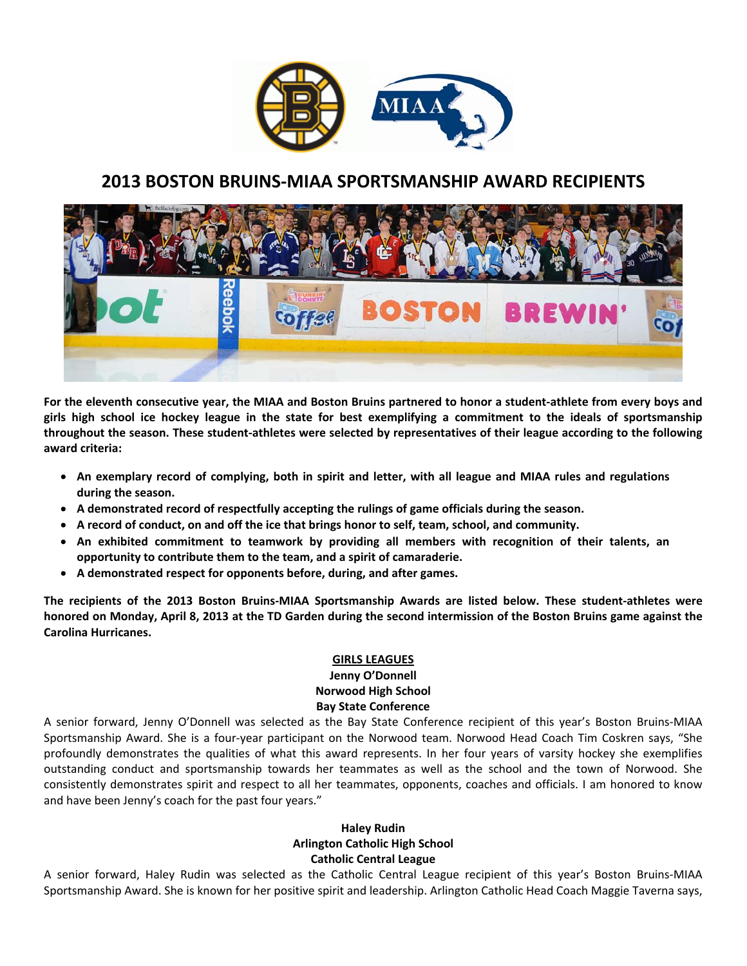

# **2013 BOSTON BRUINS‐MIAA SPORTSMANSHIP AWARD RECIPIENTS**



For the eleventh consecutive year, the MIAA and Boston Bruins partnered to honor a student-athlete from every boys and girls high school ice hockey league in the state for best exemplifying a commitment to the ideals of sportsmanship throughout the season. These student-athletes were selected by representatives of their league according to the following **award criteria:** 

- An exemplary record of complying, both in spirit and letter, with all league and MIAA rules and regulations **during the season.**
- **A demonstrated record of respectfully accepting the rulings of game officials during the season.**
- **A record of conduct, on and off the ice that brings honor to self, team, school, and community.**
- **An exhibited commitment to teamwork by providing all members with recognition of their talents, an opportunity to contribute them to the team, and a spirit of camaraderie.**
- **A demonstrated respect for opponents before, during, and after games.**

The recipients of the 2013 Boston Bruins-MIAA Sportsmanship Awards are listed below. These student-athletes were honored on Monday, April 8, 2013 at the TD Garden during the second intermission of the Boston Bruins game against the **Carolina Hurricanes.** 

#### **GIRLS LEAGUES**

#### **Jenny O'Donnell Norwood High School Bay State Conference**

A senior forward, Jenny O'Donnell was selected as the Bay State Conference recipient of this year's Boston Bruins‐MIAA Sportsmanship Award. She is a four‐year participant on the Norwood team. Norwood Head Coach Tim Coskren says, "She profoundly demonstrates the qualities of what this award represents. In her four years of varsity hockey she exemplifies outstanding conduct and sportsmanship towards her teammates as well as the school and the town of Norwood. She consistently demonstrates spirit and respect to all her teammates, opponents, coaches and officials. I am honored to know and have been Jenny's coach for the past four years."

# **Haley Rudin Arlington Catholic High School Catholic Central League**

A senior forward, Haley Rudin was selected as the Catholic Central League recipient of this year's Boston Bruins‐MIAA Sportsmanship Award. She is known for her positive spirit and leadership. Arlington Catholic Head Coach Maggie Taverna says,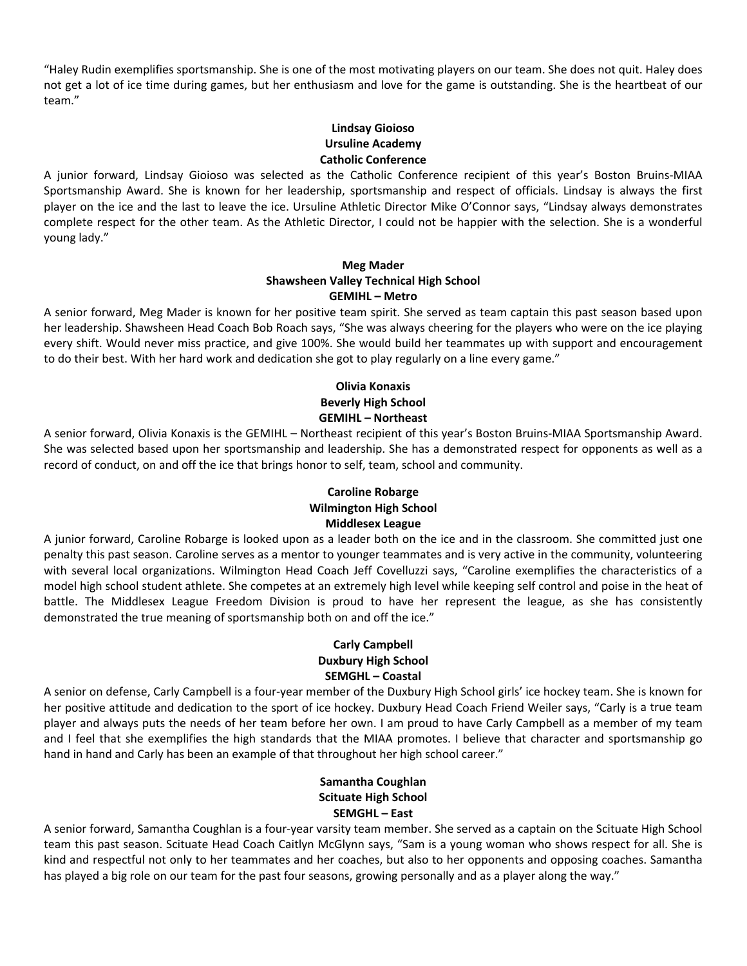"Haley Rudin exemplifies sportsmanship. She is one of the most motivating players on our team. She does not quit. Haley does not get a lot of ice time during games, but her enthusiasm and love for the game is outstanding. She is the heartbeat of our team."

# **Lindsay Gioioso Ursuline Academy Catholic Conference**

A junior forward, Lindsay Gioioso was selected as the Catholic Conference recipient of this year's Boston Bruins‐MIAA Sportsmanship Award. She is known for her leadership, sportsmanship and respect of officials. Lindsay is always the first player on the ice and the last to leave the ice. Ursuline Athletic Director Mike O'Connor says, "Lindsay always demonstrates complete respect for the other team. As the Athletic Director, I could not be happier with the selection. She is a wonderful young lady."

## **Meg Mader Shawsheen Valley Technical High School GEMIHL – Metro**

A senior forward, Meg Mader is known for her positive team spirit. She served as team captain this past season based upon her leadership. Shawsheen Head Coach Bob Roach says, "She was always cheering for the players who were on the ice playing every shift. Would never miss practice, and give 100%. She would build her teammates up with support and encouragement to do their best. With her hard work and dedication she got to play regularly on a line every game."

# **Olivia Konaxis Beverly High School GEMIHL – Northeast**

A senior forward, Olivia Konaxis is the GEMIHL – Northeast recipient of this year's Boston Bruins‐MIAA Sportsmanship Award. She was selected based upon her sportsmanship and leadership. She has a demonstrated respect for opponents as well as a record of conduct, on and off the ice that brings honor to self, team, school and community.

# **Caroline Robarge Wilmington High School Middlesex League**

A junior forward, Caroline Robarge is looked upon as a leader both on the ice and in the classroom. She committed just one penalty this past season. Caroline serves as a mentor to younger teammates and is very active in the community, volunteering with several local organizations. Wilmington Head Coach Jeff Covelluzzi says, "Caroline exemplifies the characteristics of a model high school student athlete. She competes at an extremely high level while keeping self control and poise in the heat of battle. The Middlesex League Freedom Division is proud to have her represent the league, as she has consistently demonstrated the true meaning of sportsmanship both on and off the ice."

# **Carly Campbell Duxbury High School SEMGHL – Coastal**

A senior on defense, Carly Campbell is a four‐year member of the Duxbury High School girls' ice hockey team. She is known for her positive attitude and dedication to the sport of ice hockey. Duxbury Head Coach Friend Weiler says, "Carly is a true team player and always puts the needs of her team before her own. I am proud to have Carly Campbell as a member of my team and I feel that she exemplifies the high standards that the MIAA promotes. I believe that character and sportsmanship go hand in hand and Carly has been an example of that throughout her high school career."

# **Samantha Coughlan Scituate High School SEMGHL – East**

A senior forward, Samantha Coughlan is a four‐year varsity team member. She served as a captain on the Scituate High School team this past season. Scituate Head Coach Caitlyn McGlynn says, "Sam is a young woman who shows respect for all. She is kind and respectful not only to her teammates and her coaches, but also to her opponents and opposing coaches. Samantha has played a big role on our team for the past four seasons, growing personally and as a player along the way."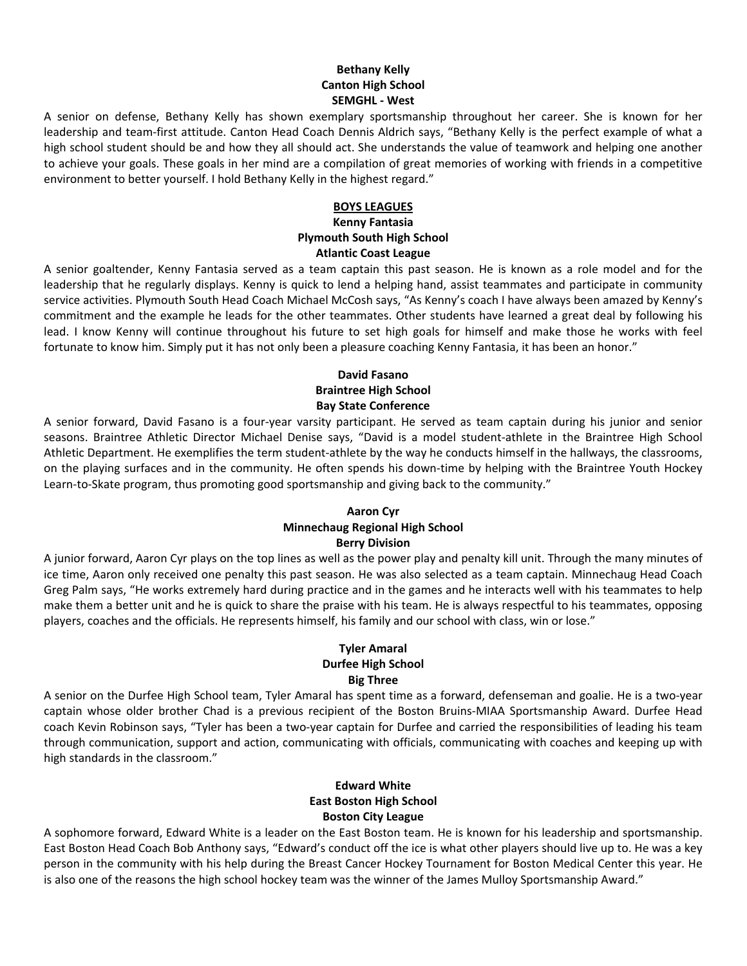# **Bethany Kelly Canton High School SEMGHL ‐ West**

A senior on defense, Bethany Kelly has shown exemplary sportsmanship throughout her career. She is known for her leadership and team‐first attitude. Canton Head Coach Dennis Aldrich says, "Bethany Kelly is the perfect example of what a high school student should be and how they all should act. She understands the value of teamwork and helping one another to achieve your goals. These goals in her mind are a compilation of great memories of working with friends in a competitive environment to better yourself. I hold Bethany Kelly in the highest regard."

## **BOYS LEAGUES**

#### **Kenny Fantasia Plymouth South High School Atlantic Coast League**

A senior goaltender, Kenny Fantasia served as a team captain this past season. He is known as a role model and for the leadership that he regularly displays. Kenny is quick to lend a helping hand, assist teammates and participate in community service activities. Plymouth South Head Coach Michael McCosh says, "As Kenny's coach I have always been amazed by Kenny's commitment and the example he leads for the other teammates. Other students have learned a great deal by following his lead. I know Kenny will continue throughout his future to set high goals for himself and make those he works with feel fortunate to know him. Simply put it has not only been a pleasure coaching Kenny Fantasia, it has been an honor."

# **David Fasano Braintree High School Bay State Conference**

A senior forward, David Fasano is a four‐year varsity participant. He served as team captain during his junior and senior seasons. Braintree Athletic Director Michael Denise says, "David is a model student‐athlete in the Braintree High School Athletic Department. He exemplifies the term student‐athlete by the way he conducts himself in the hallways, the classrooms, on the playing surfaces and in the community. He often spends his down‐time by helping with the Braintree Youth Hockey Learn-to-Skate program, thus promoting good sportsmanship and giving back to the community."

#### **Aaron Cyr Minnechaug Regional High School Berry Division**

A junior forward, Aaron Cyr plays on the top lines as well as the power play and penalty kill unit. Through the many minutes of ice time, Aaron only received one penalty this past season. He was also selected as a team captain. Minnechaug Head Coach Greg Palm says, "He works extremely hard during practice and in the games and he interacts well with his teammates to help make them a better unit and he is quick to share the praise with his team. He is always respectful to his teammates, opposing players, coaches and the officials. He represents himself, his family and our school with class, win or lose."

### **Tyler Amaral Durfee High School Big Three**

A senior on the Durfee High School team, Tyler Amaral has spent time as a forward, defenseman and goalie. He is a two‐year captain whose older brother Chad is a previous recipient of the Boston Bruins‐MIAA Sportsmanship Award. Durfee Head coach Kevin Robinson says, "Tyler has been a two‐year captain for Durfee and carried the responsibilities of leading his team through communication, support and action, communicating with officials, communicating with coaches and keeping up with high standards in the classroom."

# **Edward White East Boston High School Boston City League**

A sophomore forward, Edward White is a leader on the East Boston team. He is known for his leadership and sportsmanship. East Boston Head Coach Bob Anthony says, "Edward's conduct off the ice is what other players should live up to. He was a key person in the community with his help during the Breast Cancer Hockey Tournament for Boston Medical Center this year. He is also one of the reasons the high school hockey team was the winner of the James Mulloy Sportsmanship Award."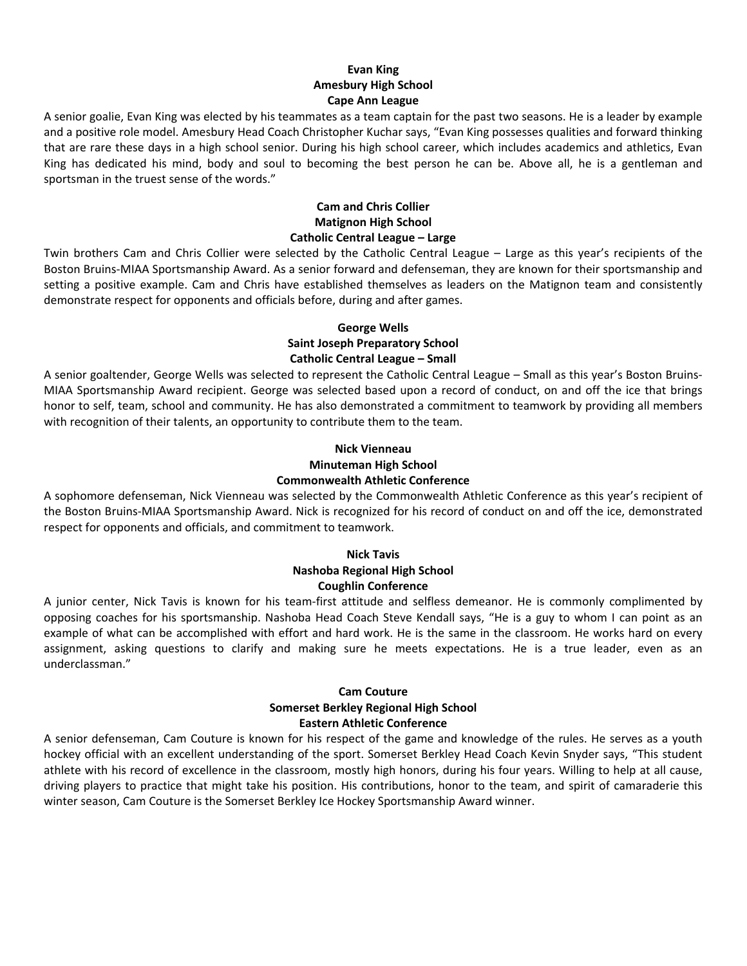# **Evan King Amesbury High School Cape Ann League**

A senior goalie, Evan King was elected by his teammates as a team captain for the past two seasons. He is a leader by example and a positive role model. Amesbury Head Coach Christopher Kuchar says, "Evan King possesses qualities and forward thinking that are rare these days in a high school senior. During his high school career, which includes academics and athletics, Evan King has dedicated his mind, body and soul to becoming the best person he can be. Above all, he is a gentleman and sportsman in the truest sense of the words."

### **Cam and Chris Collier Matignon High School Catholic Central League – Large**

Twin brothers Cam and Chris Collier were selected by the Catholic Central League – Large as this year's recipients of the Boston Bruins‐MIAA Sportsmanship Award. As a senior forward and defenseman, they are known for their sportsmanship and setting a positive example. Cam and Chris have established themselves as leaders on the Matignon team and consistently demonstrate respect for opponents and officials before, during and after games.

### **George Wells Saint Joseph Preparatory School Catholic Central League – Small**

A senior goaltender, George Wells was selected to represent the Catholic Central League – Small as this year's Boston Bruins‐ MIAA Sportsmanship Award recipient. George was selected based upon a record of conduct, on and off the ice that brings honor to self, team, school and community. He has also demonstrated a commitment to teamwork by providing all members with recognition of their talents, an opportunity to contribute them to the team.

# **Nick Vienneau Minuteman High School Commonwealth Athletic Conference**

A sophomore defenseman, Nick Vienneau was selected by the Commonwealth Athletic Conference as this year's recipient of the Boston Bruins‐MIAA Sportsmanship Award. Nick is recognized for his record of conduct on and off the ice, demonstrated respect for opponents and officials, and commitment to teamwork.

#### **Nick Tavis Nashoba Regional High School Coughlin Conference**

A junior center, Nick Tavis is known for his team‐first attitude and selfless demeanor. He is commonly complimented by opposing coaches for his sportsmanship. Nashoba Head Coach Steve Kendall says, "He is a guy to whom I can point as an example of what can be accomplished with effort and hard work. He is the same in the classroom. He works hard on every assignment, asking questions to clarify and making sure he meets expectations. He is a true leader, even as an underclassman."

# **Cam Couture Somerset Berkley Regional High School Eastern Athletic Conference**

A senior defenseman, Cam Couture is known for his respect of the game and knowledge of the rules. He serves as a youth hockey official with an excellent understanding of the sport. Somerset Berkley Head Coach Kevin Snyder says, "This student athlete with his record of excellence in the classroom, mostly high honors, during his four years. Willing to help at all cause, driving players to practice that might take his position. His contributions, honor to the team, and spirit of camaraderie this winter season, Cam Couture is the Somerset Berkley Ice Hockey Sportsmanship Award winner.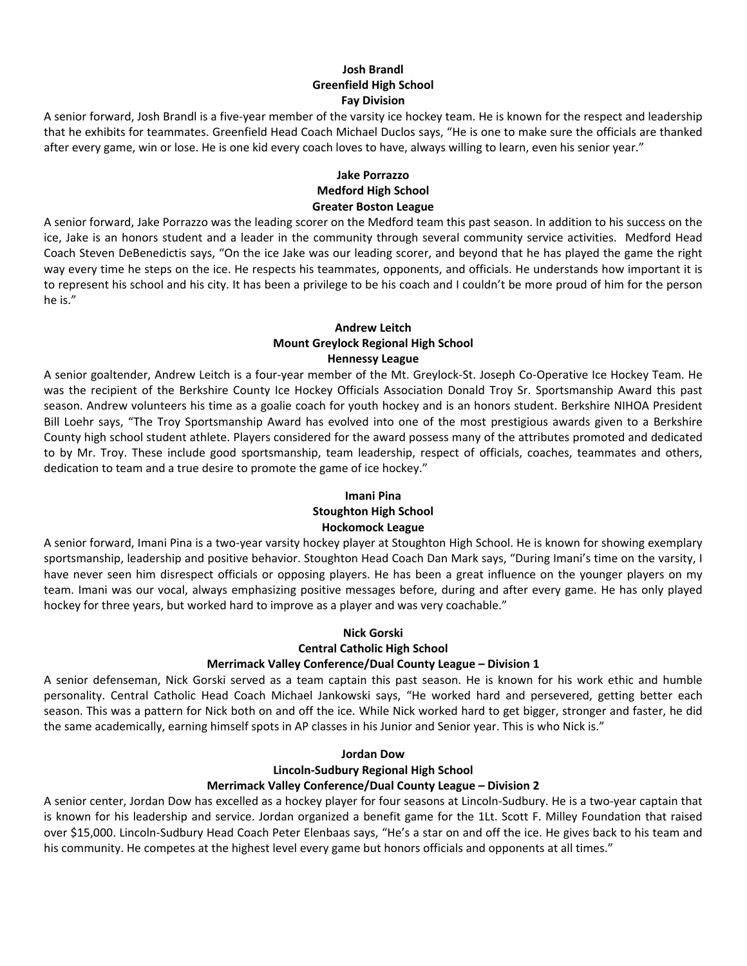# **Josh Brandl Greenfield High School Fay Division**

A senior forward, Josh Brandl is a five‐year member of the varsity ice hockey team. He is known for the respect and leadership that he exhibits for teammates. Greenfield Head Coach Michael Duclos says, "He is one to make sure the officials are thanked after every game, win or lose. He is one kid every coach loves to have, always willing to learn, even his senior year."

## **Jake Porrazzo Medford High School Greater Boston League**

A senior forward, Jake Porrazzo was the leading scorer on the Medford team this past season. In addition to his success on the ice, Jake is an honors student and a leader in the community through several community service activities. Medford Head Coach Steven DeBenedictis says, "On the ice Jake was our leading scorer, and beyond that he has played the game the right way every time he steps on the ice. He respects his teammates, opponents, and officials. He understands how important it is to represent his school and his city. It has been a privilege to be his coach and I couldn't be more proud of him for the person he is."

#### **Andrew Leitch Mount Greylock Regional High School Hennessy League**

A senior goaltender, Andrew Leitch is a four‐year member of the Mt. Greylock‐St. Joseph Co‐Operative Ice Hockey Team. He was the recipient of the Berkshire County Ice Hockey Officials Association Donald Troy Sr. Sportsmanship Award this past season. Andrew volunteers his time as a goalie coach for youth hockey and is an honors student. Berkshire NIHOA President Bill Loehr says, "The Troy Sportsmanship Award has evolved into one of the most prestigious awards given to a Berkshire County high school student athlete. Players considered for the award possess many of the attributes promoted and dedicated to by Mr. Troy. These include good sportsmanship, team leadership, respect of officials, coaches, teammates and others, dedication to team and a true desire to promote the game of ice hockey."

# **Imani Pina Stoughton High School Hockomock League**

A senior forward, Imani Pina is a two‐year varsity hockey player at Stoughton High School. He is known for showing exemplary sportsmanship, leadership and positive behavior. Stoughton Head Coach Dan Mark says, "During Imani's time on the varsity, I have never seen him disrespect officials or opposing players. He has been a great influence on the younger players on my team. Imani was our vocal, always emphasizing positive messages before, during and after every game. He has only played hockey for three years, but worked hard to improve as a player and was very coachable."

# **Nick Gorski**

**Central Catholic High School**

## **Merrimack Valley Conference/Dual County League – Division 1**

A senior defenseman, Nick Gorski served as a team captain this past season. He is known for his work ethic and humble personality. Central Catholic Head Coach Michael Jankowski says, "He worked hard and persevered, getting better each season. This was a pattern for Nick both on and off the ice. While Nick worked hard to get bigger, stronger and faster, he did the same academically, earning himself spots in AP classes in his Junior and Senior year. This is who Nick is."

## **Jordan Dow**

# **Lincoln‐Sudbury Regional High School**

## **Merrimack Valley Conference/Dual County League – Division 2**

A senior center, Jordan Dow has excelled as a hockey player for four seasons at Lincoln‐Sudbury. He is a two‐year captain that is known for his leadership and service. Jordan organized a benefit game for the 1Lt. Scott F. Milley Foundation that raised over \$15,000. Lincoln‐Sudbury Head Coach Peter Elenbaas says, "He's a star on and off the ice. He gives back to his team and his community. He competes at the highest level every game but honors officials and opponents at all times."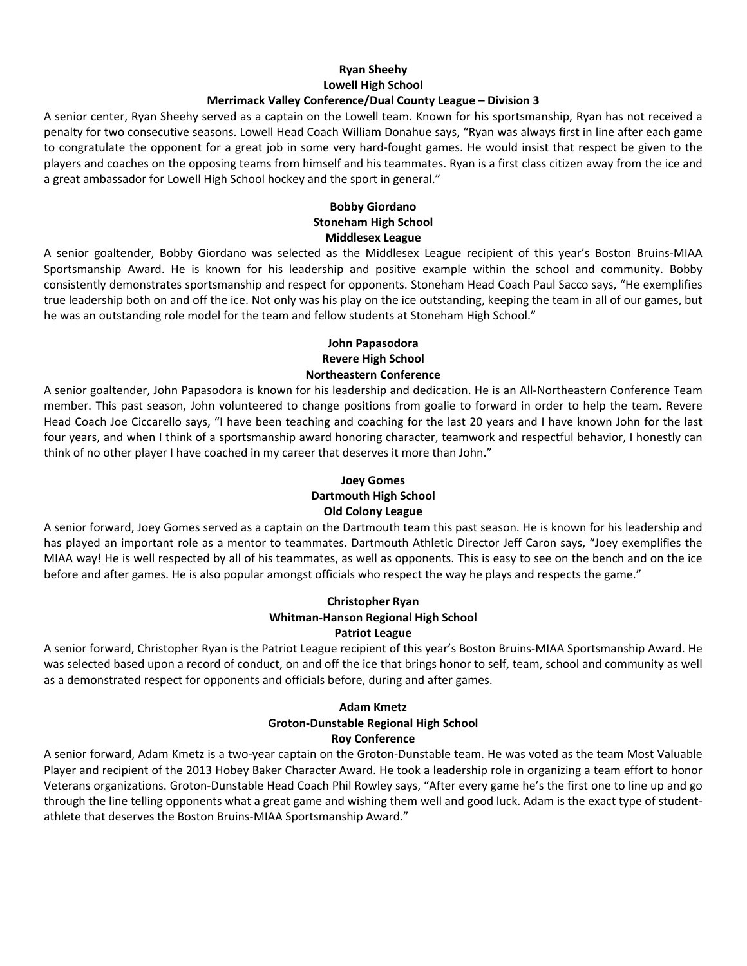### **Ryan Sheehy Lowell High School Merrimack Valley Conference/Dual County League – Division 3**

A senior center, Ryan Sheehy served as a captain on the Lowell team. Known for his sportsmanship, Ryan has not received a penalty for two consecutive seasons. Lowell Head Coach William Donahue says, "Ryan was always first in line after each game to congratulate the opponent for a great job in some very hard‐fought games. He would insist that respect be given to the players and coaches on the opposing teams from himself and his teammates. Ryan is a first class citizen away from the ice and a great ambassador for Lowell High School hockey and the sport in general."

# **Bobby Giordano Stoneham High School Middlesex League**

A senior goaltender, Bobby Giordano was selected as the Middlesex League recipient of this year's Boston Bruins‐MIAA Sportsmanship Award. He is known for his leadership and positive example within the school and community. Bobby consistently demonstrates sportsmanship and respect for opponents. Stoneham Head Coach Paul Sacco says, "He exemplifies true leadership both on and off the ice. Not only was his play on the ice outstanding, keeping the team in all of our games, but he was an outstanding role model for the team and fellow students at Stoneham High School."

### **John Papasodora Revere High School Northeastern Conference**

A senior goaltender, John Papasodora is known for his leadership and dedication. He is an All‐Northeastern Conference Team member. This past season, John volunteered to change positions from goalie to forward in order to help the team. Revere Head Coach Joe Ciccarello says, "I have been teaching and coaching for the last 20 years and I have known John for the last four years, and when I think of a sportsmanship award honoring character, teamwork and respectful behavior, I honestly can think of no other player I have coached in my career that deserves it more than John."

### **Joey Gomes Dartmouth High School Old Colony League**

A senior forward, Joey Gomes served as a captain on the Dartmouth team this past season. He is known for his leadership and has played an important role as a mentor to teammates. Dartmouth Athletic Director Jeff Caron says, "Joey exemplifies the MIAA way! He is well respected by all of his teammates, as well as opponents. This is easy to see on the bench and on the ice before and after games. He is also popular amongst officials who respect the way he plays and respects the game."

### **Christopher Ryan Whitman‐Hanson Regional High School Patriot League**

A senior forward, Christopher Ryan is the Patriot League recipient of this year's Boston Bruins‐MIAA Sportsmanship Award. He was selected based upon a record of conduct, on and off the ice that brings honor to self, team, school and community as well as a demonstrated respect for opponents and officials before, during and after games.

# **Adam Kmetz Groton‐Dunstable Regional High School Roy Conference**

A senior forward, Adam Kmetz is a two‐year captain on the Groton‐Dunstable team. He was voted as the team Most Valuable Player and recipient of the 2013 Hobey Baker Character Award. He took a leadership role in organizing a team effort to honor Veterans organizations. Groton‐Dunstable Head Coach Phil Rowley says, "After every game he's the first one to line up and go through the line telling opponents what a great game and wishing them well and good luck. Adam is the exact type of student‐ athlete that deserves the Boston Bruins‐MIAA Sportsmanship Award."